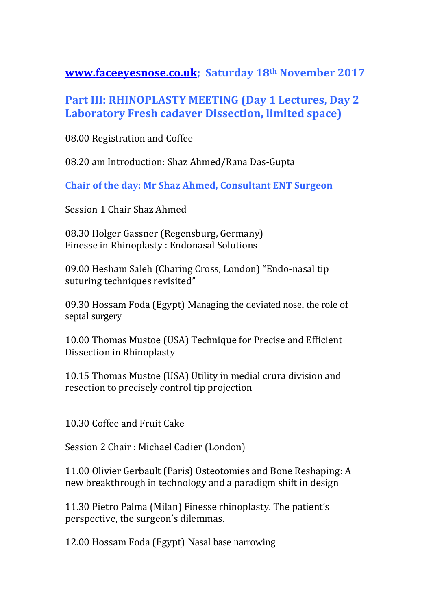**[www.faceeyesnose.co.uk;](http://www.faceeyesnose.co.uk/) Saturday 18th November 2017**

## **Part III: RHINOPLASTY MEETING (Day 1 Lectures, Day 2 Laboratory Fresh cadaver Dissection, limited space)**

08.00 Registration and Coffee

08.20 am Introduction: Shaz Ahmed/Rana Das-Gupta

**Chair of the day: Mr Shaz Ahmed, Consultant ENT Surgeon**

Session 1 Chair Shaz Ahmed

08.30 Holger Gassner (Regensburg, Germany) Finesse in Rhinoplasty : Endonasal Solutions

09.00 Hesham Saleh (Charing Cross, London) "Endo-nasal tip suturing techniques revisited"

09.30 Hossam Foda (Egypt) Managing the deviated nose, the role of septal surgery

10.00 Thomas Mustoe (USA) Technique for Precise and Efficient Dissection in Rhinoplasty

10.15 Thomas Mustoe (USA) Utility in medial crura division and resection to precisely control tip projection

10.30 Coffee and Fruit Cake

Session 2 Chair : Michael Cadier (London)

11.00 Olivier Gerbault (Paris) Osteotomies and Bone Reshaping: A new breakthrough in technology and a paradigm shift in design

11.30 Pietro Palma (Milan) Finesse rhinoplasty. The patient's perspective, the surgeon's dilemmas.

12.00 Hossam Foda (Egypt) Nasal base narrowing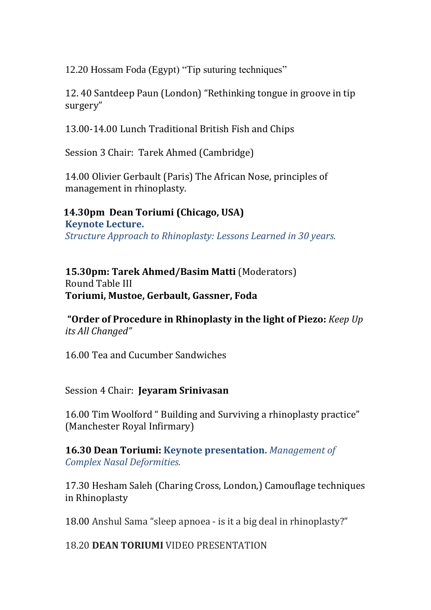12.20 Hossam Foda (Egypt) "Tip suturing techniques"

12. 40 Santdeep Paun (London) "Rethinking tongue in groove in tip surgery"

13.00-14.00 Lunch Traditional British Fish and Chips

Session 3 Chair: Tarek Ahmed (Cambridge)

14.00 Olivier Gerbault (Paris) The African Nose, principles of management in rhinoplasty.

 **14.30pm Dean Toriumi (Chicago, USA) Keynote Lecture.** *Structure Approach to Rhinoplasty: Lessons Learned in 30 years.*

**15.30pm: Tarek Ahmed/Basim Matti** (Moderators) Round Table III **Toriumi, Mustoe, Gerbault, Gassner, Foda**

**"Order of Procedure in Rhinoplasty in the light of Piezo:** *Keep Up its All Changed"* 

16.00 Tea and Cucumber Sandwiches

Session 4 Chair: **Jeyaram Srinivasan**

16.00 Tim Woolford " Building and Surviving a rhinoplasty practice" (Manchester Royal Infirmary)

**16.30 Dean Toriumi: Keynote presentation.** *Management of Complex Nasal Deformities.* 

17.30 Hesham Saleh (Charing Cross, London,) Camouflage techniques in Rhinoplasty

18.00 Anshul Sama "sleep apnoea - is it a big deal in rhinoplasty?"

18.20 **DEAN TORIUMI** VIDEO PRESENTATION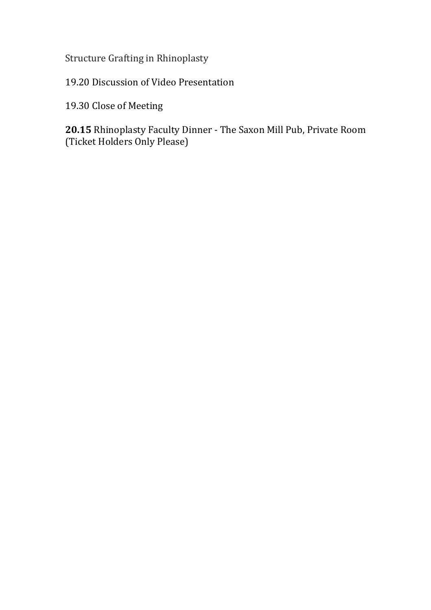Structure Grafting in Rhinoplasty

19.20 Discussion of Video Presentation

19.30 Close of Meeting

**20.15** Rhinoplasty Faculty Dinner - The Saxon Mill Pub, Private Room (Ticket Holders Only Please)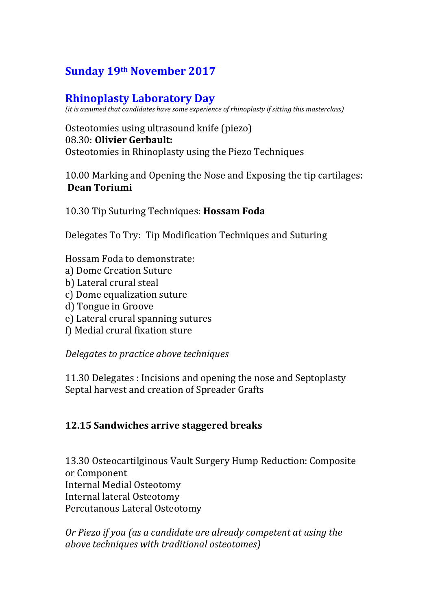# **Sunday 19th November 2017**

# **Rhinoplasty Laboratory Day**

*(it is assumed that candidates have some experience of rhinoplasty if sitting this masterclass)*

Osteotomies using ultrasound knife (piezo) 08.30: **Olivier Gerbault:** Osteotomies in Rhinoplasty using the Piezo Techniques

10.00 Marking and Opening the Nose and Exposing the tip cartilages: **Dean Toriumi**

10.30 Tip Suturing Techniques: **Hossam Foda**

Delegates To Try: Tip Modification Techniques and Suturing

Hossam Foda to demonstrate:

- a) Dome Creation Suture
- b) Lateral crural steal
- c) Dome equalization suture
- d) Tongue in Groove
- e) Lateral crural spanning sutures
- f) Medial crural fixation sture

*Delegates to practice above techniques*

11.30 Delegates : Incisions and opening the nose and Septoplasty Septal harvest and creation of Spreader Grafts

### **12.15 Sandwiches arrive staggered breaks**

13.30 Osteocartilginous Vault Surgery Hump Reduction: Composite or Component Internal Medial Osteotomy Internal lateral Osteotomy Percutanous Lateral Osteotomy

*Or Piezo if you (as a candidate are already competent at using the above techniques with traditional osteotomes)*